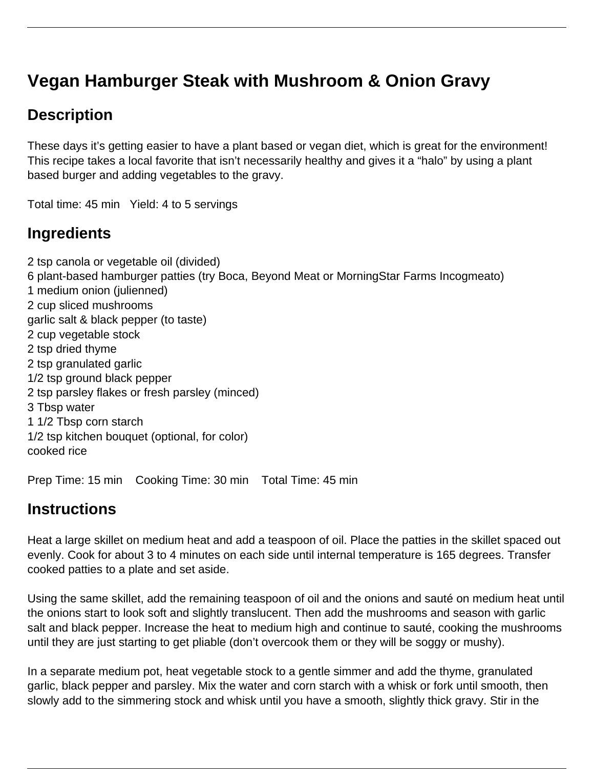# **Vegan Hamburger Steak with Mushroom & Onion Gravy**

# **Description**

These days it's getting easier to have a plant based or vegan diet, which is great for the environment! This recipe takes a local favorite that isn't necessarily healthy and gives it a "halo" by using a plant based burger and adding vegetables to the gravy.

Total time: 45 min Yield: 4 to 5 servings

### **Ingredients**

2 tsp canola or vegetable oil (divided) 6 plant-based hamburger patties (try Boca, Beyond Meat or MorningStar Farms Incogmeato) 1 medium onion (julienned) 2 cup sliced mushrooms garlic salt & black pepper (to taste) 2 cup vegetable stock 2 tsp dried thyme 2 tsp granulated garlic 1/2 tsp ground black pepper 2 tsp parsley flakes or fresh parsley (minced) 3 Tbsp water 1 1/2 Tbsp corn starch 1/2 tsp kitchen bouquet (optional, for color) cooked rice

Prep Time: 15 min Cooking Time: 30 min Total Time: 45 min

# **Instructions**

Heat a large skillet on medium heat and add a teaspoon of oil. Place the patties in the skillet spaced out evenly. Cook for about 3 to 4 minutes on each side until internal temperature is 165 degrees. Transfer cooked patties to a plate and set aside.

Using the same skillet, add the remaining teaspoon of oil and the onions and sauté on medium heat until the onions start to look soft and slightly translucent. Then add the mushrooms and season with garlic salt and black pepper. Increase the heat to medium high and continue to sauté, cooking the mushrooms until they are just starting to get pliable (don't overcook them or they will be soggy or mushy).

In a separate medium pot, heat vegetable stock to a gentle simmer and add the thyme, granulated garlic, black pepper and parsley. Mix the water and corn starch with a whisk or fork until smooth, then slowly add to the simmering stock and whisk until you have a smooth, slightly thick gravy. Stir in the